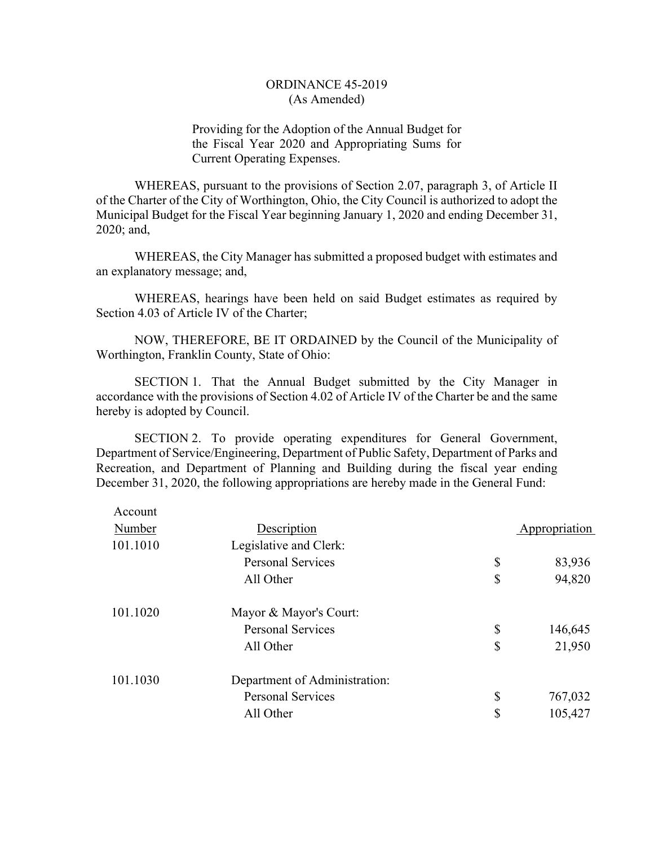Providing for the Adoption of the Annual Budget for the Fiscal Year 2020 and Appropriating Sums for Current Operating Expenses.

WHEREAS, pursuant to the provisions of Section 2.07, paragraph 3, of Article II of the Charter of the City of Worthington, Ohio, the City Council is authorized to adopt the Municipal Budget for the Fiscal Year beginning January 1, 2020 and ending December 31, 2020; and,

WHEREAS, the City Manager has submitted a proposed budget with estimates and an explanatory message; and,

WHEREAS, hearings have been held on said Budget estimates as required by Section 4.03 of Article IV of the Charter;

NOW, THEREFORE, BE IT ORDAINED by the Council of the Municipality of Worthington, Franklin County, State of Ohio:

SECTION 1. That the Annual Budget submitted by the City Manager in accordance with the provisions of Section 4.02 of Article IV of the Charter be and the same hereby is adopted by Council.

SECTION 2. To provide operating expenditures for General Government, Department of Service/Engineering, Department of Public Safety, Department of Parks and Recreation, and Department of Planning and Building during the fiscal year ending December 31, 2020, the following appropriations are hereby made in the General Fund:

| Account  |                               |               |
|----------|-------------------------------|---------------|
| Number   | Description                   | Appropriation |
| 101.1010 | Legislative and Clerk:        |               |
|          | <b>Personal Services</b>      | \$<br>83,936  |
|          | All Other                     | \$<br>94,820  |
| 101.1020 | Mayor & Mayor's Court:        |               |
|          | <b>Personal Services</b>      | \$<br>146,645 |
|          | All Other                     | \$<br>21,950  |
| 101.1030 | Department of Administration: |               |
|          | <b>Personal Services</b>      | \$<br>767,032 |
|          | All Other                     | \$<br>105,427 |
|          |                               |               |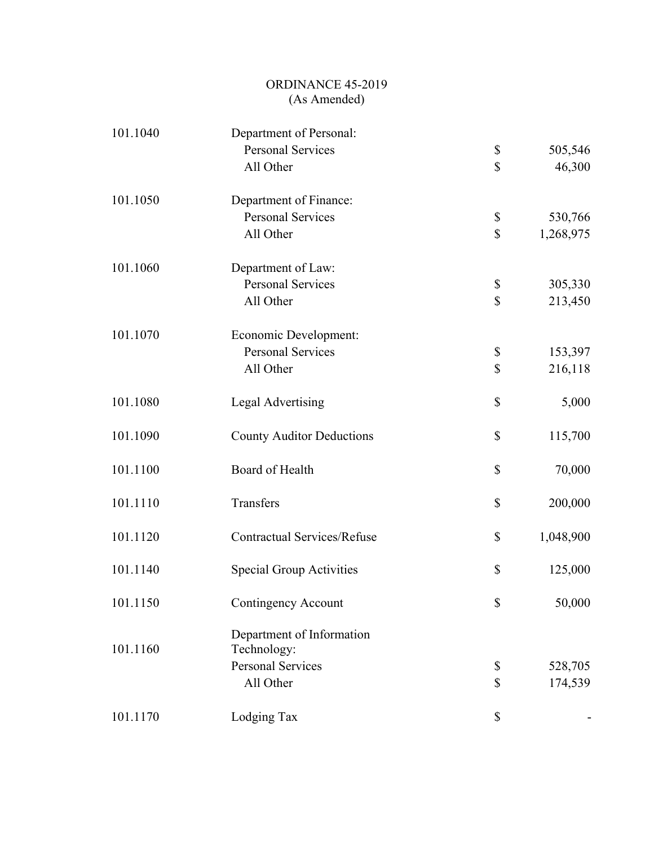| 101.1040 | Department of Personal:            |                 |
|----------|------------------------------------|-----------------|
|          | <b>Personal Services</b>           | \$<br>505,546   |
|          | All Other                          | \$<br>46,300    |
| 101.1050 | Department of Finance:             |                 |
|          | <b>Personal Services</b>           | \$<br>530,766   |
|          | All Other                          | \$<br>1,268,975 |
| 101.1060 | Department of Law:                 |                 |
|          | <b>Personal Services</b>           | \$<br>305,330   |
|          | All Other                          | \$<br>213,450   |
| 101.1070 | Economic Development:              |                 |
|          | <b>Personal Services</b>           | \$<br>153,397   |
|          | All Other                          | \$<br>216,118   |
| 101.1080 | <b>Legal Advertising</b>           | \$<br>5,000     |
| 101.1090 | <b>County Auditor Deductions</b>   | \$<br>115,700   |
| 101.1100 | Board of Health                    | \$<br>70,000    |
| 101.1110 | Transfers                          | \$<br>200,000   |
| 101.1120 | <b>Contractual Services/Refuse</b> | \$<br>1,048,900 |
| 101.1140 | <b>Special Group Activities</b>    | \$<br>125,000   |
| 101.1150 | Contingency Account                | \$<br>50,000    |
|          | Department of Information          |                 |
| 101.1160 | Technology:                        |                 |
|          | <b>Personal Services</b>           | \$<br>528,705   |
|          | All Other                          | \$<br>174,539   |
| 101.1170 | Lodging Tax                        | \$              |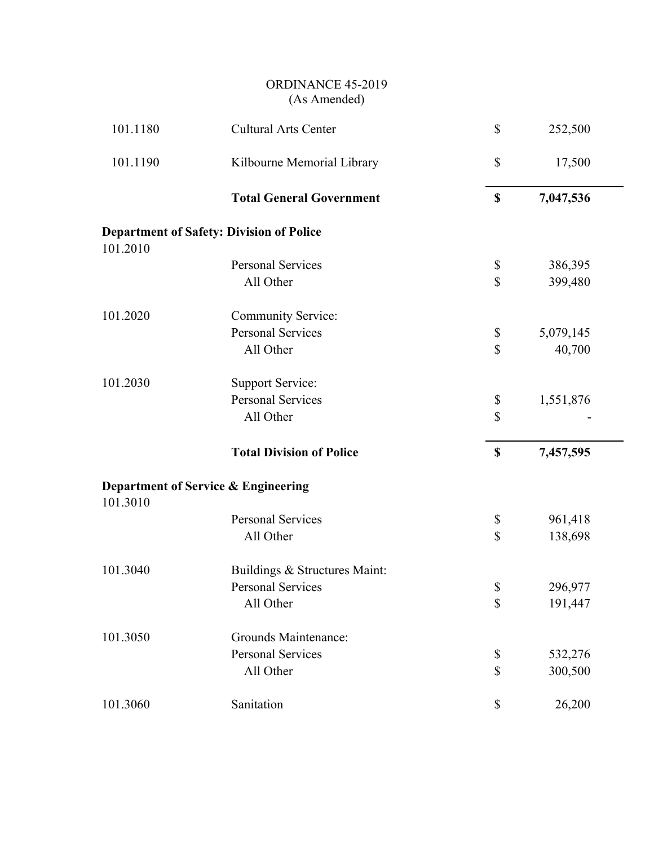| 101.1180 | Cultural Arts Center                            | \$<br>252,500   |  |
|----------|-------------------------------------------------|-----------------|--|
| 101.1190 | Kilbourne Memorial Library                      | \$<br>17,500    |  |
|          | <b>Total General Government</b>                 | \$<br>7,047,536 |  |
|          | <b>Department of Safety: Division of Police</b> |                 |  |
| 101.2010 |                                                 |                 |  |
|          | <b>Personal Services</b>                        | \$<br>386,395   |  |
|          | All Other                                       | \$<br>399,480   |  |
| 101.2020 | Community Service:                              |                 |  |
|          | <b>Personal Services</b>                        | \$<br>5,079,145 |  |
|          | All Other                                       | \$<br>40,700    |  |
| 101.2030 | <b>Support Service:</b>                         |                 |  |
|          | <b>Personal Services</b>                        | \$<br>1,551,876 |  |
|          | All Other                                       | \$              |  |
|          | <b>Total Division of Police</b>                 | \$<br>7,457,595 |  |
| 101.3010 | Department of Service & Engineering             |                 |  |
|          | <b>Personal Services</b>                        | \$<br>961,418   |  |
|          | All Other                                       | \$<br>138,698   |  |
| 101.3040 | Buildings & Structures Maint:                   |                 |  |
|          | <b>Personal Services</b>                        | \$<br>296,977   |  |
|          | All Other                                       | \$<br>191,447   |  |
| 101.3050 | Grounds Maintenance:                            |                 |  |
|          | <b>Personal Services</b>                        | \$<br>532,276   |  |
|          | All Other                                       | \$<br>300,500   |  |
| 101.3060 | Sanitation                                      | \$<br>26,200    |  |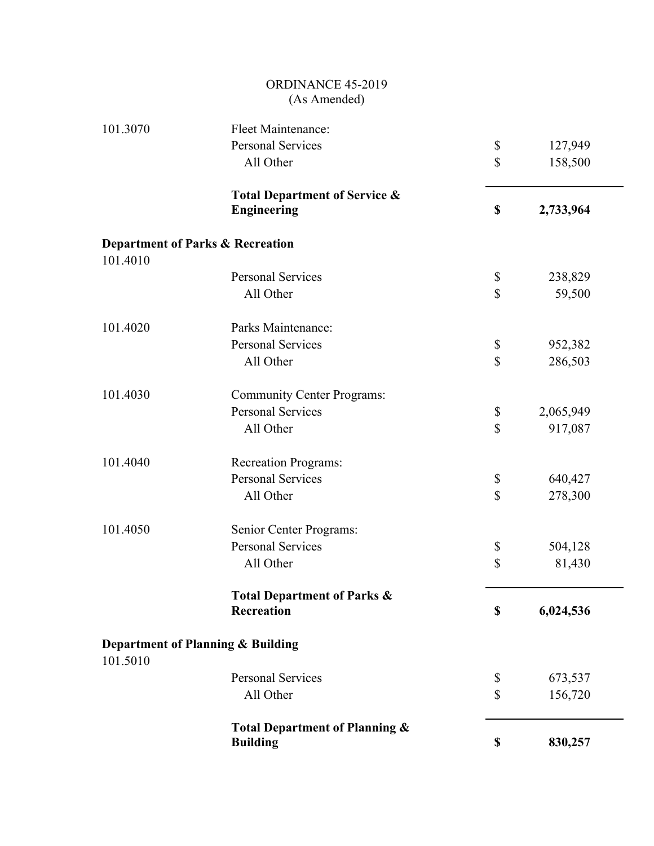|          | <b>ORDINANCE 45-2019</b><br>(As Amended)                       |                 |
|----------|----------------------------------------------------------------|-----------------|
| 101.3070 | Fleet Maintenance:                                             |                 |
|          | <b>Personal Services</b>                                       | \$<br>127,949   |
|          | All Other                                                      | \$<br>158,500   |
|          | <b>Total Department of Service &amp;</b><br><b>Engineering</b> | \$<br>2,733,964 |
|          |                                                                |                 |
| 101.4010 | <b>Department of Parks &amp; Recreation</b>                    |                 |
|          | <b>Personal Services</b>                                       | \$<br>238,829   |
|          | All Other                                                      | \$<br>59,500    |
| 101.4020 | Parks Maintenance:                                             |                 |
|          | <b>Personal Services</b>                                       | \$<br>952,382   |
|          | All Other                                                      | \$<br>286,503   |
| 101.4030 | <b>Community Center Programs:</b>                              |                 |
|          | <b>Personal Services</b>                                       | \$<br>2,065,949 |
|          | All Other                                                      | \$<br>917,087   |
| 101.4040 | <b>Recreation Programs:</b>                                    |                 |
|          | <b>Personal Services</b>                                       | \$<br>640,427   |
|          | All Other                                                      | \$<br>278,300   |
| 101.4050 | Senior Center Programs:                                        |                 |
|          | <b>Personal Services</b>                                       | \$<br>504,128   |
|          | All Other                                                      | \$<br>81,430    |
|          | <b>Total Department of Parks &amp;</b>                         |                 |
|          | <b>Recreation</b>                                              | \$<br>6,024,536 |
| 101.5010 | Department of Planning & Building                              |                 |
|          | <b>Personal Services</b>                                       | \$<br>673,537   |
|          | All Other                                                      | \$<br>156,720   |
|          | Total Department of Planning &<br><b>Building</b>              | \$<br>830,257   |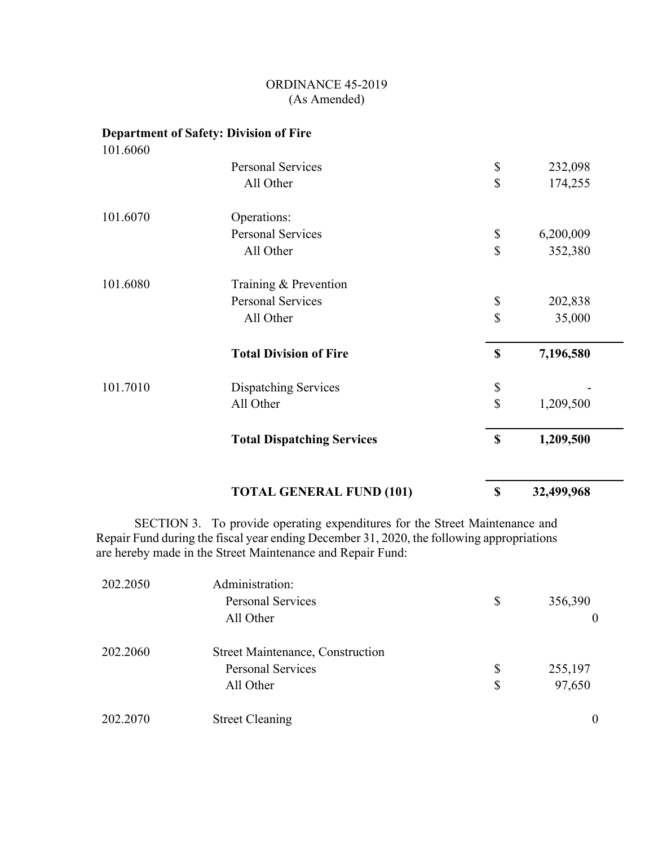# **Department of Safety: Division of Fire**

101.6060

|          | <b>TOTAL GENERAL FUND (101)</b>   | \$                        | 32,499,968 |
|----------|-----------------------------------|---------------------------|------------|
|          | <b>Total Dispatching Services</b> | $\boldsymbol{\mathsf{S}}$ | 1,209,500  |
|          | All Other                         | $\mathcal{S}$             | 1,209,500  |
| 101.7010 | <b>Dispatching Services</b>       | \$                        |            |
|          | <b>Total Division of Fire</b>     | \$                        | 7,196,580  |
|          | All Other                         | \$                        | 35,000     |
|          | <b>Personal Services</b>          | \$                        | 202,838    |
| 101.6080 | Training & Prevention             |                           |            |
|          | All Other                         | \$                        | 352,380    |
|          | <b>Personal Services</b>          | \$                        | 6,200,009  |
| 101.6070 | Operations:                       |                           |            |
|          | All Other                         | \$                        | 174,255    |
|          | <b>Personal Services</b>          | \$                        | 232,098    |
|          |                                   |                           |            |

 SECTION 3. To provide operating expenditures for the Street Maintenance and Repair Fund during the fiscal year ending December 31, 2020, the following appropriations are hereby made in the Street Maintenance and Repair Fund:

| 202.2050 | Administration:                         |               |
|----------|-----------------------------------------|---------------|
|          | <b>Personal Services</b>                | \$<br>356,390 |
|          | All Other                               | $\theta$      |
| 202.2060 | <b>Street Maintenance, Construction</b> |               |
|          | <b>Personal Services</b>                | \$<br>255,197 |
|          | All Other                               | \$<br>97,650  |
| 202.2070 | <b>Street Cleaning</b>                  | $\theta$      |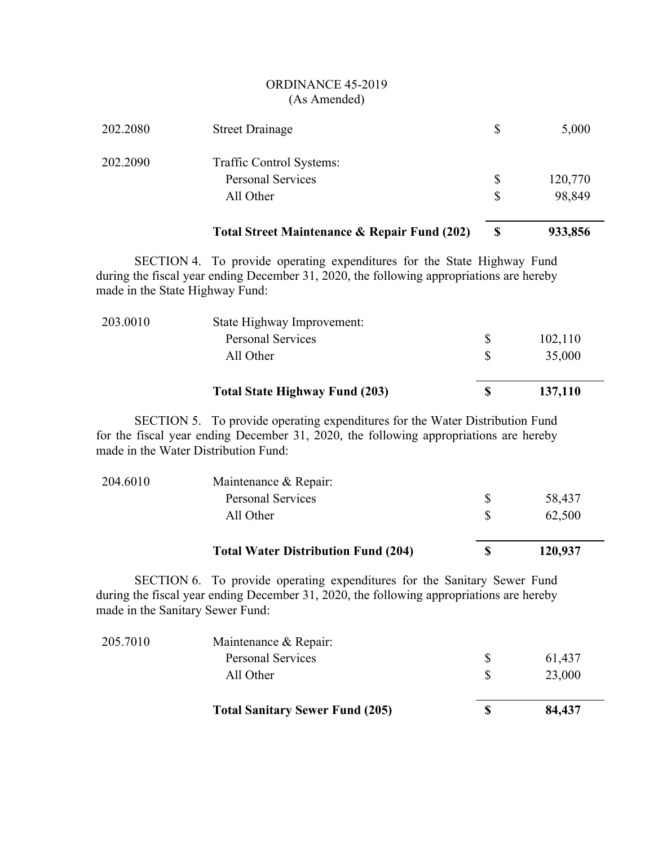| 202.2080                        | <b>Street Drainage</b>                                                                                                                                                                                        | \$          | 5,000   |
|---------------------------------|---------------------------------------------------------------------------------------------------------------------------------------------------------------------------------------------------------------|-------------|---------|
| 202.2090                        | Traffic Control Systems:                                                                                                                                                                                      |             |         |
|                                 | <b>Personal Services</b>                                                                                                                                                                                      | \$          | 120,770 |
|                                 | All Other                                                                                                                                                                                                     | \$          | 98,849  |
|                                 | <b>Total Street Maintenance &amp; Repair Fund (202)</b>                                                                                                                                                       | $\mathbf S$ | 933,856 |
| made in the State Highway Fund: | SECTION 4. To provide operating expenditures for the State Highway Fund<br>during the fiscal year ending December 31, 2020, the following appropriations are hereby                                           |             |         |
| 203.0010                        | State Highway Improvement:                                                                                                                                                                                    |             |         |
|                                 | <b>Personal Services</b>                                                                                                                                                                                      | \$          | 102,110 |
|                                 | All Other                                                                                                                                                                                                     | \$          | 35,000  |
|                                 | <b>Total State Highway Fund (203)</b>                                                                                                                                                                         | \$          | 137,110 |
|                                 |                                                                                                                                                                                                               |             |         |
|                                 | SECTION 5. To provide operating expenditures for the Water Distribution Fund<br>for the fiscal year ending December 31, 2020, the following appropriations are hereby<br>made in the Water Distribution Fund: |             |         |
| 204.6010                        | Maintenance & Repair:                                                                                                                                                                                         |             |         |
|                                 | <b>Personal Services</b>                                                                                                                                                                                      | \$          | 58,437  |
|                                 | All Other                                                                                                                                                                                                     | \$          | 62,500  |
|                                 | <b>Total Water Distribution Fund (204)</b>                                                                                                                                                                    | \$          | 120,937 |

|          | <b>Total Sanitary Sewer Fund (205)</b> | 84,437 |
|----------|----------------------------------------|--------|
|          | All Other                              | 23,000 |
|          | <b>Personal Services</b>               | 61,437 |
| 205.7010 | Maintenance & Repair:                  |        |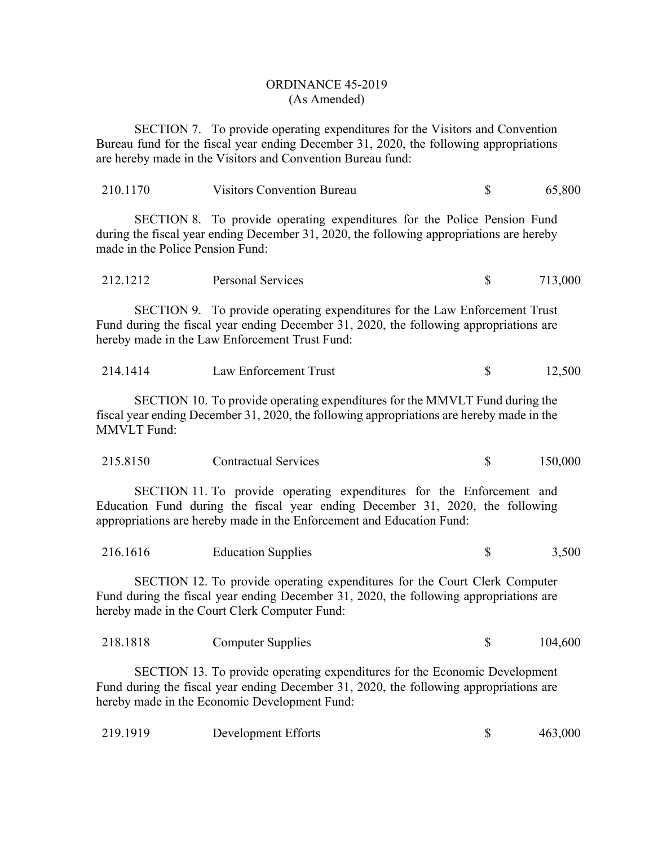SECTION 7. To provide operating expenditures for the Visitors and Convention Bureau fund for the fiscal year ending December 31, 2020, the following appropriations are hereby made in the Visitors and Convention Bureau fund:

| 210.1170                         | <b>Visitors Convention Bureau</b>                                                                                                                                                                                               | $\mathbb{S}$ | 65,800  |
|----------------------------------|---------------------------------------------------------------------------------------------------------------------------------------------------------------------------------------------------------------------------------|--------------|---------|
| made in the Police Pension Fund: | SECTION 8. To provide operating expenditures for the Police Pension Fund<br>during the fiscal year ending December 31, 2020, the following appropriations are hereby                                                            |              |         |
| 212.1212                         | Personal Services                                                                                                                                                                                                               | \$           | 713,000 |
|                                  | SECTION 9. To provide operating expenditures for the Law Enforcement Trust<br>Fund during the fiscal year ending December 31, 2020, the following appropriations are<br>hereby made in the Law Enforcement Trust Fund:          |              |         |
| 214.1414                         | Law Enforcement Trust                                                                                                                                                                                                           | \$           | 12,500  |
| <b>MMVLT</b> Fund:               | SECTION 10. To provide operating expenditures for the MMVLT Fund during the<br>fiscal year ending December 31, 2020, the following appropriations are hereby made in the                                                        |              |         |
| 215.8150                         | <b>Contractual Services</b>                                                                                                                                                                                                     | \$           | 150,000 |
|                                  | SECTION 11. To provide operating expenditures for the Enforcement and<br>Education Fund during the fiscal year ending December 31, 2020, the following<br>appropriations are hereby made in the Enforcement and Education Fund: |              |         |
| 216.1616                         | <b>Education Supplies</b>                                                                                                                                                                                                       | \$           | 3,500   |
|                                  | SECTION 12. To provide operating expenditures for the Court Clerk Computer<br>Fund during the fiscal year ending December 31, 2020, the following appropriations are<br>hereby made in the Court Clerk Computer Fund:           |              |         |
| 218.1818                         | <b>Computer Supplies</b>                                                                                                                                                                                                        | \$           | 104,600 |
|                                  | SECTION 13. To provide operating expenditures for the Economic Development<br>Fund during the fiscal year ending December 31, 2020, the following appropriations are<br>hereby made in the Economic Development Fund:           |              |         |
| 219.1919                         | Development Efforts                                                                                                                                                                                                             | \$           | 463,000 |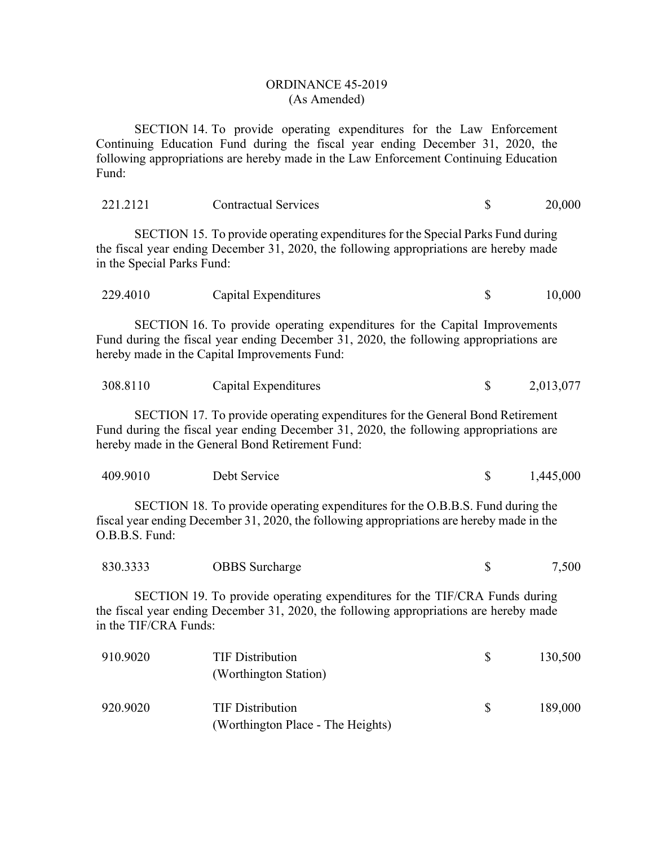SECTION 14. To provide operating expenditures for the Law Enforcement Continuing Education Fund during the fiscal year ending December 31, 2020, the following appropriations are hereby made in the Law Enforcement Continuing Education Fund:

| 221.2121                   | <b>Contractual Services</b>                                                                                                                                                                                                 | \$           | 20,000    |
|----------------------------|-----------------------------------------------------------------------------------------------------------------------------------------------------------------------------------------------------------------------------|--------------|-----------|
| in the Special Parks Fund: | SECTION 15. To provide operating expenditures for the Special Parks Fund during<br>the fiscal year ending December 31, 2020, the following appropriations are hereby made                                                   |              |           |
| 229.4010                   | Capital Expenditures                                                                                                                                                                                                        | \$           | 10,000    |
|                            | SECTION 16. To provide operating expenditures for the Capital Improvements<br>Fund during the fiscal year ending December 31, 2020, the following appropriations are<br>hereby made in the Capital Improvements Fund:       |              |           |
| 308.8110                   | Capital Expenditures                                                                                                                                                                                                        | $\mathbb{S}$ | 2,013,077 |
|                            | SECTION 17. To provide operating expenditures for the General Bond Retirement<br>Fund during the fiscal year ending December 31, 2020, the following appropriations are<br>hereby made in the General Bond Retirement Fund: |              |           |
| 409.9010                   | Debt Service                                                                                                                                                                                                                | \$           | 1,445,000 |
| O.B.B.S. Fund:             | SECTION 18. To provide operating expenditures for the O.B.B.S. Fund during the<br>fiscal year ending December 31, 2020, the following appropriations are hereby made in the                                                 |              |           |
| 830.3333                   | <b>OBBS</b> Surcharge                                                                                                                                                                                                       | \$           | 7,500     |
| in the TIF/CRA Funds:      | SECTION 19. To provide operating expenditures for the TIF/CRA Funds during<br>the fiscal year ending December 31, 2020, the following appropriations are hereby made                                                        |              |           |
| 910.9020                   | <b>TIF Distribution</b><br>(Worthington Station)                                                                                                                                                                            | \$           | 130,500   |
| 920.9020                   | <b>TIF Distribution</b><br>(Worthington Place - The Heights)                                                                                                                                                                | \$           | 189,000   |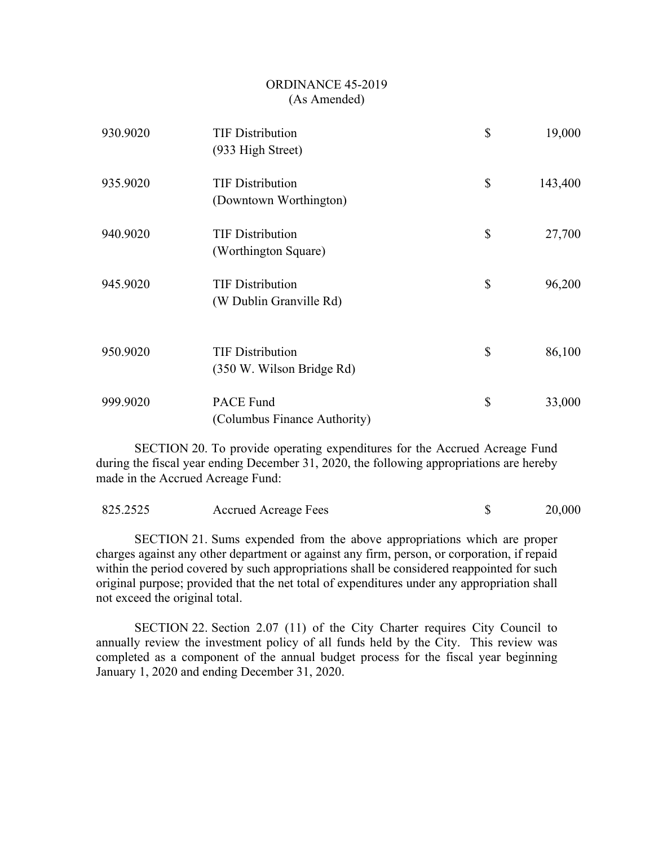| 930.9020 | <b>TIF Distribution</b><br>(933 High Street)         | \$<br>19,000  |
|----------|------------------------------------------------------|---------------|
| 935.9020 | <b>TIF Distribution</b><br>(Downtown Worthington)    | \$<br>143,400 |
| 940.9020 | <b>TIF Distribution</b><br>(Worthington Square)      | \$<br>27,700  |
| 945.9020 | <b>TIF Distribution</b><br>(W Dublin Granville Rd)   | \$<br>96,200  |
| 950.9020 | <b>TIF Distribution</b><br>(350 W. Wilson Bridge Rd) | \$<br>86,100  |
| 999.9020 | <b>PACE Fund</b><br>(Columbus Finance Authority)     | \$<br>33,000  |

SECTION 20. To provide operating expenditures for the Accrued Acreage Fund during the fiscal year ending December 31, 2020, the following appropriations are hereby made in the Accrued Acreage Fund:

| 825.2525 | Accrued Acreage Fees |  | 20,000 |
|----------|----------------------|--|--------|
|----------|----------------------|--|--------|

SECTION 21. Sums expended from the above appropriations which are proper charges against any other department or against any firm, person, or corporation, if repaid within the period covered by such appropriations shall be considered reappointed for such original purpose; provided that the net total of expenditures under any appropriation shall not exceed the original total.

SECTION 22. Section 2.07 (11) of the City Charter requires City Council to annually review the investment policy of all funds held by the City. This review was completed as a component of the annual budget process for the fiscal year beginning January 1, 2020 and ending December 31, 2020.